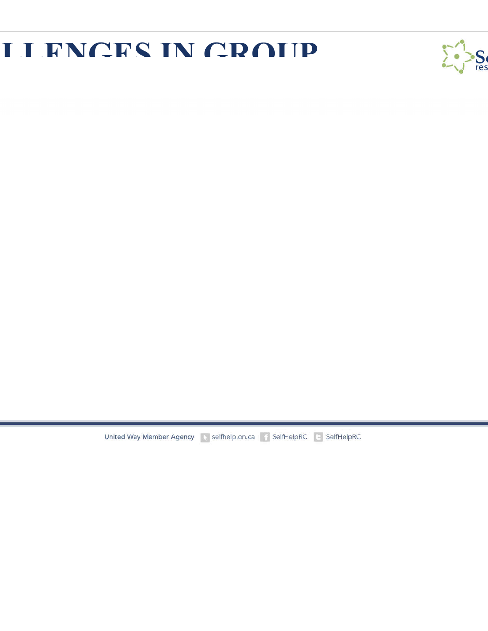### **LEAN CRAIP**



United Way Member Agency Matchelp.on.ca Final SelfHelpRC El SelfHelpRC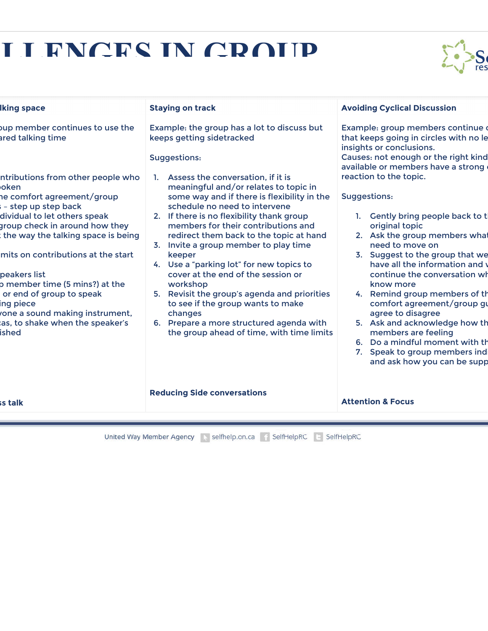# **LEAN CRAIP**



| <b>Iking space</b>                                                                                                                                                                                                                                                                                                                                                               | <b>Staying on track</b>                                                                                                                                                                                                                                                                                                                                                                                                                                                                                                                                                                        | <b>Avoiding Cyclical Discussion</b>                                                                                                                                                                                                                                                                                                                                                                                                                                                     |
|----------------------------------------------------------------------------------------------------------------------------------------------------------------------------------------------------------------------------------------------------------------------------------------------------------------------------------------------------------------------------------|------------------------------------------------------------------------------------------------------------------------------------------------------------------------------------------------------------------------------------------------------------------------------------------------------------------------------------------------------------------------------------------------------------------------------------------------------------------------------------------------------------------------------------------------------------------------------------------------|-----------------------------------------------------------------------------------------------------------------------------------------------------------------------------------------------------------------------------------------------------------------------------------------------------------------------------------------------------------------------------------------------------------------------------------------------------------------------------------------|
| bup member continues to use the<br>ared talking time<br>ntributions from other people who                                                                                                                                                                                                                                                                                        | Example: the group has a lot to discuss but<br>keeps getting sidetracked<br>Suggestions:<br>1. Assess the conversation, if it is                                                                                                                                                                                                                                                                                                                                                                                                                                                               | Example: group members continue o<br>that keeps going in circles with no le<br>insights or conclusions.<br>Causes: not enough or the right kind<br>available or members have a strong<br>reaction to the topic.                                                                                                                                                                                                                                                                         |
| oken<br>he comfort agreement/group<br>- step up step back<br>dividual to let others speak<br>group check in around how they<br>the way the talking space is being<br>mits on contributions at the start<br>peakers list<br>p member time (5 mins?) at the<br>or end of group to speak<br>ing piece<br>one a sound making instrument,<br>as, to shake when the speaker's<br>ished | meaningful and/or relates to topic in<br>some way and if there is flexibility in the<br>schedule no need to intervene<br>2. If there is no flexibility thank group<br>members for their contributions and<br>redirect them back to the topic at hand<br>3. Invite a group member to play time<br>keeper<br>4. Use a "parking lot" for new topics to<br>cover at the end of the session or<br>workshop<br>5. Revisit the group's agenda and priorities<br>to see if the group wants to make<br>changes<br>6. Prepare a more structured agenda with<br>the group ahead of time, with time limits | Suggestions:<br>Gently bring people back to t<br>original topic<br>2. Ask the group members what<br>need to move on<br>3. Suggest to the group that we<br>have all the information and y<br>continue the conversation wh<br>know more<br>4. Remind group members of th<br>comfort agreement/group gu<br>agree to disagree<br>5. Ask and acknowledge how th<br>members are feeling<br>6. Do a mindful moment with the<br>Speak to group members ind<br>7.<br>and ask how you can be supp |
| ss talk                                                                                                                                                                                                                                                                                                                                                                          | <b>Reducing Side conversations</b>                                                                                                                                                                                                                                                                                                                                                                                                                                                                                                                                                             | <b>Attention &amp; Focus</b>                                                                                                                                                                                                                                                                                                                                                                                                                                                            |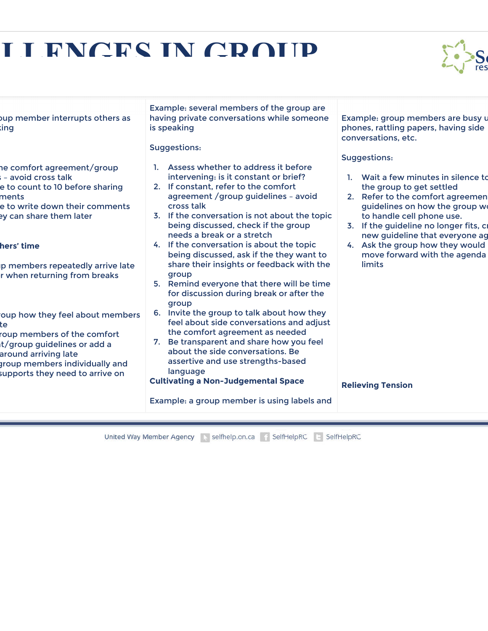# **LEARCES IN CRAID**



oup member interrupts others as sing

he comfort agreement/group  $=$  avoid cross talk

- e to count to 10 before sharing ments
- e to write down their comments ey can share them later

### hers' time

- p members repeatedly arrive late r when returning from breaks
- oup how they feel about members te
- roup members of the comfort t/group guidelines or add a
- around arriving late
- group members individually and
- supports they need to arrive on

Example: several members of the group are having private conversations while someone is speaking

### Suggestions:

- 1. Assess whether to address it before intervening: is it constant or brief?
- 2. If constant, refer to the comfort agreement /group guidelines – avoid cross talk
- 3. If the conversation is not about the topic being discussed, check if the group needs a break or a stretch
- 4. If the conversation is about the topic being discussed, ask if the they want to share their insights or feedback with the group
- 5. Remind everyone that there will be time for discussion during break or after the group
- 6. Invite the group to talk about how they feel about side conversations and adjust the comfort agreement as needed
- 7. Be transparent and share how you feel about the side conversations. Be assertive and use strengths-based language

**Cultivating a Non-Judgemental Space**

Example: group members are busy us phones, rattling papers, having side conversations, etc.

### Suggestions:

- 1. Wait a few minutes in silence to the group to get settled
- 2. Refer to the comfort agreemen guidelines on how the group w to handle cell phone use.
- 3. If the guideline no longer fits, c new guideline that everyone ag
- 4. Ask the group how they would move forward with the agenda limits

#### **Relieving Tension**

Example: a group member is using labels and

United Way Member Agency November 2016 and The SelfHelpRC Langelin SelfHelpRC